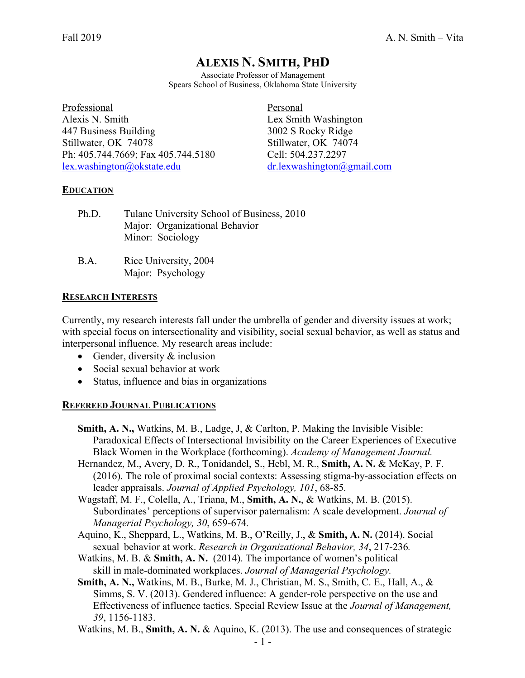# **ALEXIS N. SMITH, PHD**

Associate Professor of Management Spears School of Business, Oklahoma State University

Professional Alexis N. Smith 447 Business Building Stillwater, OK 74078 Ph: 405.744.7669; Fax 405.744.5180 Cell: 504.237.2297 lex.washington@okstate.edu dr.lexwashington@gmail.com

Personal Lex Smith Washington 3002 S Rocky Ridge Stillwater, OK 74074

### **EDUCATION**

| Ph.D. | Tulane University School of Business, 2010 |
|-------|--------------------------------------------|
|       | Major: Organizational Behavior             |
|       | Minor: Sociology                           |
|       |                                            |

B.A. Rice University, 2004 Major: Psychology

### **RESEARCH INTERESTS**

Currently, my research interests fall under the umbrella of gender and diversity issues at work; with special focus on intersectionality and visibility, social sexual behavior, as well as status and interpersonal influence. My research areas include:

- Gender, diversity & inclusion
- Social sexual behavior at work
- Status, influence and bias in organizations

### **REFEREED JOURNAL PUBLICATIONS**

- **Smith, A. N.,** Watkins, M. B., Ladge, J, & Carlton, P. Making the Invisible Visible: Paradoxical Effects of Intersectional Invisibility on the Career Experiences of Executive Black Women in the Workplace (forthcoming). *Academy of Management Journal.*
- Hernandez, M., Avery, D. R., Tonidandel, S., Hebl, M. R., **Smith, A. N.** & McKay, P. F. (2016). The role of proximal social contexts: Assessing stigma-by-association effects on leader appraisals. *Journal of Applied Psychology, 101*, 68-85*.*
- Wagstaff, M. F., Colella, A., Triana, M., **Smith, A. N.**, & Watkins, M. B. (2015). Subordinates' perceptions of supervisor paternalism: A scale development. *Journal of Managerial Psychology, 30*, 659-674*.*
- Aquino, K., Sheppard, L., Watkins, M. B., O'Reilly, J., & **Smith, A. N.** (2014). Social sexual behavior at work. *Research in Organizational Behavior, 34*, 217-236*.*
- Watkins, M. B. & **Smith, A. N.** (2014). The importance of women's political skill in male-dominated workplaces. *Journal of Managerial Psychology.*
- **Smith, A. N.,** Watkins, M. B., Burke, M. J., Christian, M. S., Smith, C. E., Hall, A., & Simms, S. V. (2013). Gendered influence: A gender-role perspective on the use and Effectiveness of influence tactics. Special Review Issue at the *Journal of Management, 39*, 1156-1183.
- Watkins, M. B., **Smith, A. N.** & Aquino, K. (2013). The use and consequences of strategic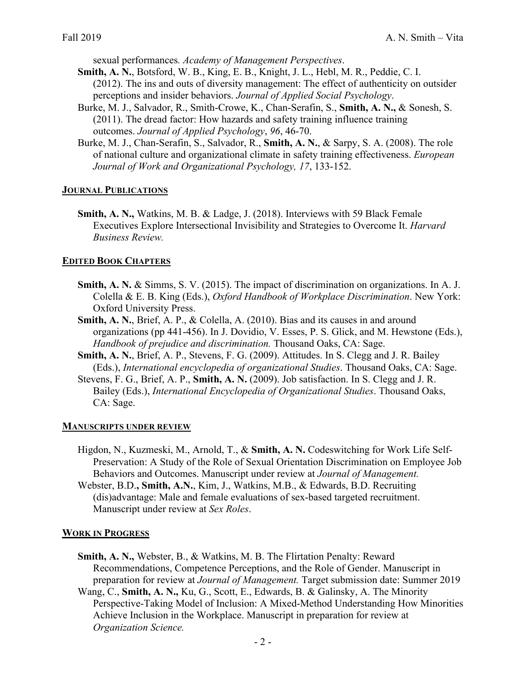sexual performances*. Academy of Management Perspectives*.

- **Smith, A. N.**, Botsford, W. B., King, E. B., Knight, J. L., Hebl, M. R., Peddie, C. I. (2012). The ins and outs of diversity management: The effect of authenticity on outsider perceptions and insider behaviors. *Journal of Applied Social Psychology*.
- Burke, M. J., Salvador, R., Smith-Crowe, K., Chan-Serafin, S., **Smith, A. N.,** & Sonesh, S. (2011). The dread factor: How hazards and safety training influence training outcomes. *Journal of Applied Psychology*, *96*, 46-70.
- Burke, M. J., Chan-Serafin, S., Salvador, R., **Smith, A. N.**, & Sarpy, S. A. (2008). The role of national culture and organizational climate in safety training effectiveness. *European Journal of Work and Organizational Psychology, 17*, 133-152.

### **JOURNAL PUBLICATIONS**

**Smith, A. N.,** Watkins, M. B. & Ladge, J. (2018). Interviews with 59 Black Female Executives Explore Intersectional Invisibility and Strategies to Overcome It. *Harvard Business Review.*

## **EDITED BOOK CHAPTERS**

- **Smith, A. N.** & Simms, S. V. (2015). The impact of discrimination on organizations. In A. J. Colella & E. B. King (Eds.), *Oxford Handbook of Workplace Discrimination*. New York: Oxford University Press.
- **Smith, A. N.**, Brief, A. P., & Colella, A. (2010). Bias and its causes in and around organizations (pp 441-456). In J. Dovidio, V. Esses, P. S. Glick, and M. Hewstone (Eds.), *Handbook of prejudice and discrimination.* Thousand Oaks, CA: Sage.
- **Smith, A. N.**, Brief, A. P., Stevens, F. G. (2009). Attitudes. In S. Clegg and J. R. Bailey (Eds.), *International encyclopedia of organizational Studies*. Thousand Oaks, CA: Sage.
- Stevens, F. G., Brief, A. P., **Smith, A. N.** (2009). Job satisfaction. In S. Clegg and J. R. Bailey (Eds.), *International Encyclopedia of Organizational Studies*. Thousand Oaks, CA: Sage.

### **MANUSCRIPTS UNDER REVIEW**

- Higdon, N., Kuzmeski, M., Arnold, T., & **Smith, A. N.** Codeswitching for Work Life Self-Preservation: A Study of the Role of Sexual Orientation Discrimination on Employee Job Behaviors and Outcomes. Manuscript under review at *Journal of Management.*
- Webster, B.D.**, Smith, A.N.**, Kim, J., Watkins, M.B., & Edwards, B.D. Recruiting (dis)advantage: Male and female evaluations of sex-based targeted recruitment. Manuscript under review at *Sex Roles*.

### **WORK IN PROGRESS**

- **Smith, A. N.,** Webster, B., & Watkins, M. B. The Flirtation Penalty: Reward Recommendations, Competence Perceptions, and the Role of Gender. Manuscript in preparation for review at *Journal of Management.* Target submission date: Summer 2019
- Wang, C., **Smith, A. N.,** Ku, G., Scott, E., Edwards, B. & Galinsky, A. The Minority Perspective-Taking Model of Inclusion: A Mixed-Method Understanding How Minorities Achieve Inclusion in the Workplace. Manuscript in preparation for review at *Organization Science.*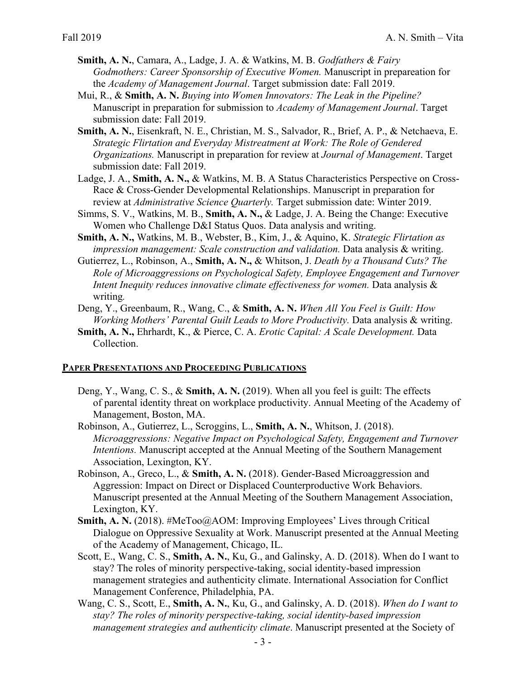- **Smith, A. N.**, Camara, A., Ladge, J. A. & Watkins, M. B. *Godfathers & Fairy Godmothers: Career Sponsorship of Executive Women.* Manuscript in prepareation for the *Academy of Management Journal*. Target submission date: Fall 2019.
- Mui, R., & **Smith, A. N.** *Buying into Women Innovators: The Leak in the Pipeline?* Manuscript in preparation for submission to *Academy of Management Journal*. Target submission date: Fall 2019.
- **Smith, A. N.**, Eisenkraft, N. E., Christian, M. S., Salvador, R., Brief, A. P., & Netchaeva, E. *Strategic Flirtation and Everyday Mistreatment at Work: The Role of Gendered Organizations.* Manuscript in preparation for review at *Journal of Management*. Target submission date: Fall 2019.
- Ladge, J. A., **Smith, A. N.,** & Watkins, M. B. A Status Characteristics Perspective on Cross-Race & Cross-Gender Developmental Relationships. Manuscript in preparation for review at *Administrative Science Quarterly.* Target submission date: Winter 2019.
- Simms, S. V., Watkins, M. B., **Smith, A. N.,** & Ladge, J. A. Being the Change: Executive Women who Challenge D&I Status Quos. Data analysis and writing.
- **Smith, A. N.,** Watkins, M. B., Webster, B., Kim, J., & Aquino, K. *Strategic Flirtation as impression management: Scale construction and validation.* Data analysis & writing.
- Gutierrez, L., Robinson, A., **Smith, A. N.,** & Whitson, J. *Death by a Thousand Cuts? The Role of Microaggressions on Psychological Safety, Employee Engagement and Turnover Intent Inequity reduces innovative climate effectiveness for women.* Data analysis & writing*.*
- Deng, Y., Greenbaum, R., Wang, C., & **Smith, A. N.** *When All You Feel is Guilt: How Working Mothers' Parental Guilt Leads to More Productivity.* Data analysis & writing.
- **Smith, A. N.,** Ehrhardt, K., & Pierce, C. A. *Erotic Capital: A Scale Development.* Data Collection.

### **PAPER PRESENTATIONS AND PROCEEDING PUBLICATIONS**

- Deng, Y., Wang, C. S., & **Smith, A. N.** (2019). When all you feel is guilt: The effects of parental identity threat on workplace productivity. Annual Meeting of the Academy of Management, Boston, MA.
- Robinson, A., Gutierrez, L., Scroggins, L., **Smith, A. N.**, Whitson, J. (2018). *Microaggressions: Negative Impact on Psychological Safety, Engagement and Turnover Intentions.* Manuscript accepted at the Annual Meeting of the Southern Management Association, Lexington, KY.
- Robinson, A., Greco, L., & **Smith, A. N.** (2018). Gender-Based Microaggression and Aggression: Impact on Direct or Displaced Counterproductive Work Behaviors. Manuscript presented at the Annual Meeting of the Southern Management Association, Lexington, KY.
- **Smith, A. N.** (2018). #MeToo@AOM: Improving Employees' Lives through Critical Dialogue on Oppressive Sexuality at Work. Manuscript presented at the Annual Meeting of the Academy of Management, Chicago, IL.
- Scott, E., Wang, C. S., **Smith, A. N.**, Ku, G., and Galinsky, A. D. (2018). When do I want to stay? The roles of minority perspective-taking, social identity-based impression management strategies and authenticity climate. International Association for Conflict Management Conference, Philadelphia, PA.
- Wang, C. S., Scott, E., **Smith, A. N.**, Ku, G., and Galinsky, A. D. (2018). *When do I want to stay? The roles of minority perspective-taking, social identity-based impression management strategies and authenticity climate*. Manuscript presented at the Society of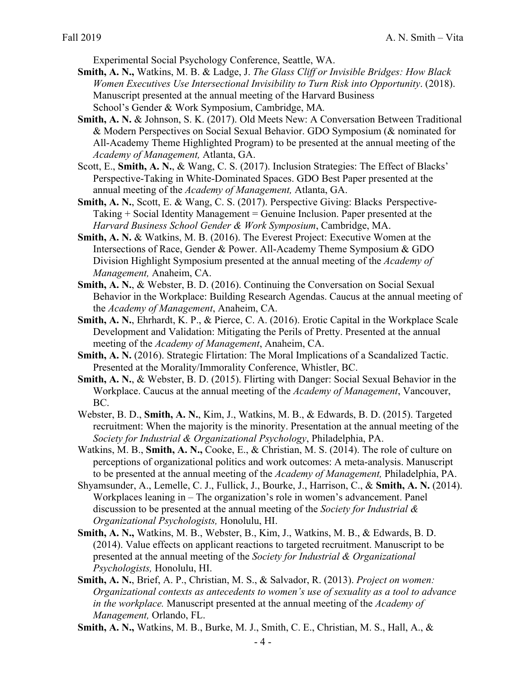Experimental Social Psychology Conference, Seattle, WA.

- **Smith, A. N.,** Watkins, M. B. & Ladge, J. *The Glass Cliff or Invisible Bridges: How Black Women Executives Use Intersectional Invisibility to Turn Risk into Opportunity*. (2018). Manuscript presented at the annual meeting of the Harvard Business School's Gender & Work Symposium, Cambridge, MA*.*
- **Smith, A. N.** & Johnson, S. K. (2017). Old Meets New: A Conversation Between Traditional & Modern Perspectives on Social Sexual Behavior. GDO Symposium (& nominated for All-Academy Theme Highlighted Program) to be presented at the annual meeting of the *Academy of Management,* Atlanta, GA.
- Scott, E., **Smith, A. N.**, & Wang, C. S. (2017). Inclusion Strategies: The Effect of Blacks' Perspective-Taking in White-Dominated Spaces. GDO Best Paper presented at the annual meeting of the *Academy of Management,* Atlanta, GA.
- **Smith, A. N.**, Scott, E. & Wang, C. S. (2017). Perspective Giving: Blacks Perspective- $Taking + Social Identity Management = Genuine Inclusion. Paper presented at the$ *Harvard Business School Gender & Work Symposium*, Cambridge, MA.
- **Smith, A. N.** & Watkins, M. B. (2016). The Everest Project: Executive Women at the Intersections of Race, Gender & Power. All-Academy Theme Symposium & GDO Division Highlight Symposium presented at the annual meeting of the *Academy of Management,* Anaheim, CA.
- **Smith, A. N.**, & Webster, B. D. (2016). Continuing the Conversation on Social Sexual Behavior in the Workplace: Building Research Agendas. Caucus at the annual meeting of the *Academy of Management*, Anaheim, CA.
- **Smith, A. N.**, Ehrhardt, K. P., & Pierce, C. A. (2016). Erotic Capital in the Workplace Scale Development and Validation: Mitigating the Perils of Pretty. Presented at the annual meeting of the *Academy of Management*, Anaheim, CA.
- **Smith, A. N.** (2016). Strategic Flirtation: The Moral Implications of a Scandalized Tactic. Presented at the Morality/Immorality Conference, Whistler, BC.
- **Smith, A. N.**, & Webster, B. D. (2015). Flirting with Danger: Social Sexual Behavior in the Workplace. Caucus at the annual meeting of the *Academy of Management*, Vancouver, BC.
- Webster, B. D., **Smith, A. N.**, Kim, J., Watkins, M. B., & Edwards, B. D. (2015). Targeted recruitment: When the majority is the minority. Presentation at the annual meeting of the *Society for Industrial & Organizational Psychology*, Philadelphia, PA.
- Watkins, M. B., **Smith, A. N.,** Cooke, E., & Christian, M. S. (2014). The role of culture on perceptions of organizational politics and work outcomes: A meta-analysis. Manuscript to be presented at the annual meeting of the *Academy of Management,* Philadelphia, PA.
- Shyamsunder, A., Lemelle, C. J., Fullick, J., Bourke, J., Harrison, C., & **Smith, A. N.** (2014). Workplaces leaning in – The organization's role in women's advancement. Panel discussion to be presented at the annual meeting of the *Society for Industrial & Organizational Psychologists,* Honolulu, HI.
- **Smith, A. N.,** Watkins, M. B., Webster, B., Kim, J., Watkins, M. B., & Edwards, B. D. (2014). Value effects on applicant reactions to targeted recruitment. Manuscript to be presented at the annual meeting of the *Society for Industrial & Organizational Psychologists,* Honolulu, HI.
- **Smith, A. N.**, Brief, A. P., Christian, M. S., & Salvador, R. (2013). *Project on women: Organizational contexts as antecedents to women's use of sexuality as a tool to advance in the workplace.* Manuscript presented at the annual meeting of the *Academy of Management,* Orlando, FL.
- **Smith, A. N.,** Watkins, M. B., Burke, M. J., Smith, C. E., Christian, M. S., Hall, A., &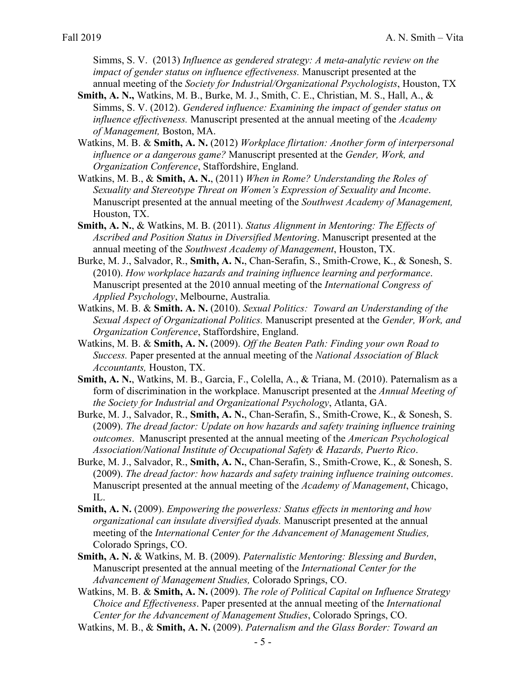Simms, S. V. (2013) *Influence as gendered strategy: A meta-analytic review on the impact of gender status on influence effectiveness.* Manuscript presented at the annual meeting of the *Society for Industrial/Organizational Psychologists*, Houston, TX

- **Smith, A. N.,** Watkins, M. B., Burke, M. J., Smith, C. E., Christian, M. S., Hall, A., & Simms, S. V. (2012). *Gendered influence: Examining the impact of gender status on influence effectiveness.* Manuscript presented at the annual meeting of the *Academy of Management,* Boston, MA.
- Watkins, M. B. & **Smith, A. N.** (2012) *Workplace flirtation: Another form of interpersonal influence or a dangerous game?* Manuscript presented at the *Gender, Work, and Organization Conference*, Staffordshire, England.
- Watkins, M. B., & **Smith, A. N.**, (2011) *When in Rome? Understanding the Roles of Sexuality and Stereotype Threat on Women's Expression of Sexuality and Income*. Manuscript presented at the annual meeting of the *Southwest Academy of Management,*  Houston, TX.
- **Smith, A. N.**, & Watkins, M. B. (2011). *Status Alignment in Mentoring: The Effects of Ascribed and Position Status in Diversified Mentoring*. Manuscript presented at the annual meeting of the *Southwest Academy of Management*, Houston, TX.
- Burke, M. J., Salvador, R., **Smith, A. N.**, Chan-Serafin, S., Smith-Crowe, K., & Sonesh, S. (2010). *How workplace hazards and training influence learning and performance*. Manuscript presented at the 2010 annual meeting of the *International Congress of Applied Psychology*, Melbourne, Australia*.*
- Watkins, M. B. & **Smith. A. N.** (2010). *Sexual Politics: Toward an Understanding of the Sexual Aspect of Organizational Politics.* Manuscript presented at the *Gender, Work, and Organization Conference*, Staffordshire, England.
- Watkins, M. B. & **Smith, A. N.** (2009). *Off the Beaten Path: Finding your own Road to Success.* Paper presented at the annual meeting of the *National Association of Black Accountants,* Houston, TX.
- **Smith, A. N.**, Watkins, M. B., Garcia, F., Colella, A., & Triana, M. (2010). Paternalism as a form of discrimination in the workplace. Manuscript presented at the *Annual Meeting of the Society for Industrial and Organizational Psychology*, Atlanta, GA.
- Burke, M. J., Salvador, R., **Smith, A. N.**, Chan-Serafin, S., Smith-Crowe, K., & Sonesh, S. (2009). *The dread factor: Update on how hazards and safety training influence training outcomes*. Manuscript presented at the annual meeting of the *American Psychological Association/National Institute of Occupational Safety & Hazards, Puerto Rico*.
- Burke, M. J., Salvador, R., **Smith, A. N.**, Chan-Serafin, S., Smith-Crowe, K., & Sonesh, S. (2009). *The dread factor: how hazards and safety training influence training outcomes*. Manuscript presented at the annual meeting of the *Academy of Management*, Chicago, IL.
- **Smith, A. N.** (2009). *Empowering the powerless: Status effects in mentoring and how organizational can insulate diversified dyads.* Manuscript presented at the annual meeting of the *International Center for the Advancement of Management Studies,*  Colorado Springs, CO.
- **Smith, A. N.** & Watkins, M. B. (2009). *Paternalistic Mentoring: Blessing and Burden*, Manuscript presented at the annual meeting of the *International Center for the Advancement of Management Studies,* Colorado Springs, CO.
- Watkins, M. B. & **Smith, A. N.** (2009). *The role of Political Capital on Influence Strategy Choice and Effectiveness*. Paper presented at the annual meeting of the *International Center for the Advancement of Management Studies*, Colorado Springs, CO.
- Watkins, M. B., & **Smith, A. N.** (2009). *Paternalism and the Glass Border: Toward an*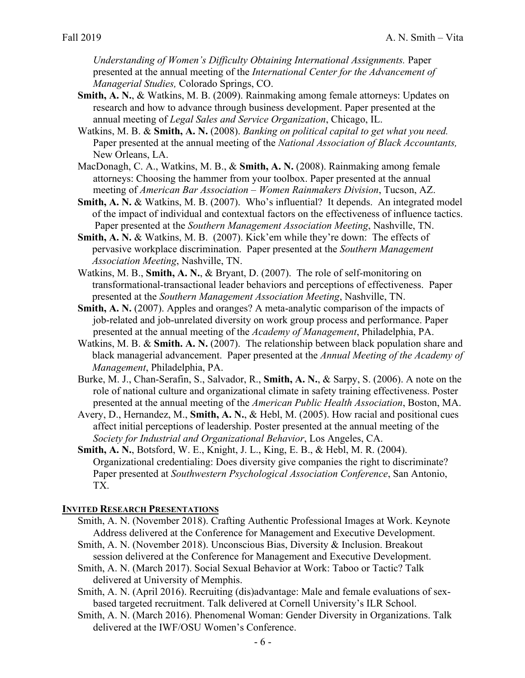*Understanding of Women's Difficulty Obtaining International Assignments.* Paper presented at the annual meeting of the *International Center for the Advancement of Managerial Studies,* Colorado Springs, CO.

- **Smith, A. N.**, & Watkins, M. B. (2009). Rainmaking among female attorneys: Updates on research and how to advance through business development. Paper presented at the annual meeting of *Legal Sales and Service Organization*, Chicago, IL.
- Watkins, M. B. & **Smith, A. N.** (2008). *Banking on political capital to get what you need.*  Paper presented at the annual meeting of the *National Association of Black Accountants,*  New Orleans, LA.
- MacDonagh, C. A., Watkins, M. B., & **Smith, A. N.** (2008). Rainmaking among female attorneys: Choosing the hammer from your toolbox. Paper presented at the annual meeting of *American Bar Association – Women Rainmakers Division*, Tucson, AZ.
- **Smith, A. N.** & Watkins, M. B. (2007).Who's influential? It depends. An integrated model of the impact of individual and contextual factors on the effectiveness of influence tactics. Paper presented at the *Southern Management Association Meeting*, Nashville, TN.
- **Smith, A. N.** & Watkins, M. B. (2007). Kick'em while they're down: The effects of pervasive workplace discrimination. Paper presented at the *Southern Management Association Meeting*, Nashville, TN.
- Watkins, M. B., **Smith, A. N.**, & Bryant, D. (2007). The role of self-monitoring on transformational-transactional leader behaviors and perceptions of effectiveness. Paper presented at the *Southern Management Association Meeting*, Nashville, TN.
- **Smith, A. N.** (2007). Apples and oranges? A meta-analytic comparison of the impacts of job-related and job-unrelated diversity on work group process and performance. Paper presented at the annual meeting of the *Academy of Management*, Philadelphia, PA.
- Watkins, M. B. & **Smith. A. N.** (2007). The relationship between black population share and black managerial advancement.Paper presented at the *Annual Meeting of the Academy of Management*, Philadelphia, PA.
- Burke, M. J., Chan-Serafin, S., Salvador, R., **Smith, A. N.**, & Sarpy, S. (2006). A note on the role of national culture and organizational climate in safety training effectiveness. Poster presented at the annual meeting of the *American Public Health Association*, Boston, MA.
- Avery, D., Hernandez, M., **Smith, A. N.**, & Hebl, M. (2005). How racial and positional cues affect initial perceptions of leadership. Poster presented at the annual meeting of the *Society for Industrial and Organizational Behavior*, Los Angeles, CA.
- **Smith, A. N.**, Botsford, W. E., Knight, J. L., King, E. B., & Hebl, M. R. (2004). Organizational credentialing: Does diversity give companies the right to discriminate? Paper presented at *Southwestern Psychological Association Conference*, San Antonio, TX.

### **INVITED RESEARCH PRESENTATIONS**

- Smith, A. N. (November 2018). Crafting Authentic Professional Images at Work. Keynote Address delivered at the Conference for Management and Executive Development.
- Smith, A. N. (November 2018). Unconscious Bias, Diversity & Inclusion. Breakout session delivered at the Conference for Management and Executive Development.
- Smith, A. N. (March 2017). Social Sexual Behavior at Work: Taboo or Tactic? Talk delivered at University of Memphis.
- Smith, A. N. (April 2016). Recruiting (dis)advantage: Male and female evaluations of sexbased targeted recruitment. Talk delivered at Cornell University's ILR School.
- Smith, A. N. (March 2016). Phenomenal Woman: Gender Diversity in Organizations. Talk delivered at the IWF/OSU Women's Conference.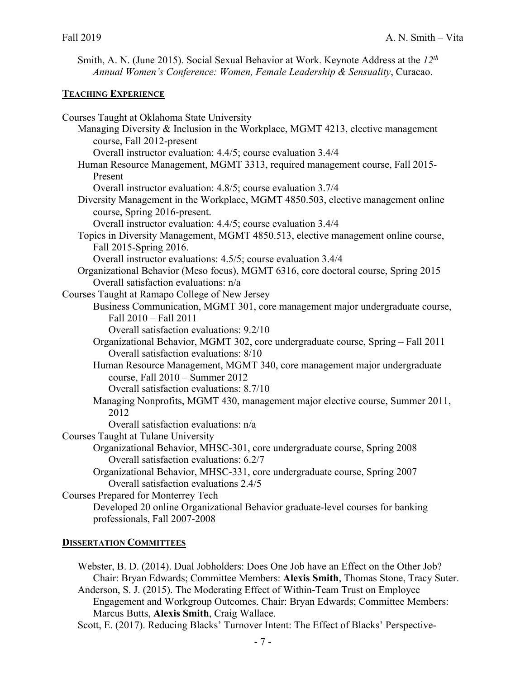Smith, A. N. (June 2015). Social Sexual Behavior at Work. Keynote Address at the *12th Annual Women's Conference: Women, Female Leadership & Sensuality*, Curacao.

### **TEACHING EXPERIENCE**

Courses Taught at Oklahoma State University Managing Diversity & Inclusion in the Workplace, MGMT 4213, elective management course, Fall 2012-present Overall instructor evaluation: 4.4/5; course evaluation 3.4/4 Human Resource Management, MGMT 3313, required management course, Fall 2015- Present Overall instructor evaluation: 4.8/5; course evaluation 3.7/4 Diversity Management in the Workplace, MGMT 4850.503, elective management online course, Spring 2016-present. Overall instructor evaluation: 4.4/5; course evaluation 3.4/4 Topics in Diversity Management, MGMT 4850.513, elective management online course, Fall 2015-Spring 2016. Overall instructor evaluations: 4.5/5; course evaluation 3.4/4 Organizational Behavior (Meso focus), MGMT 6316, core doctoral course, Spring 2015 Overall satisfaction evaluations: n/a Courses Taught at Ramapo College of New Jersey Business Communication, MGMT 301, core management major undergraduate course, Fall 2010 – Fall 2011 Overall satisfaction evaluations: 9.2/10 Organizational Behavior, MGMT 302, core undergraduate course, Spring – Fall 2011 Overall satisfaction evaluations: 8/10 Human Resource Management, MGMT 340, core management major undergraduate course, Fall 2010 – Summer 2012 Overall satisfaction evaluations: 8.7/10 Managing Nonprofits, MGMT 430, management major elective course, Summer 2011, 2012 Overall satisfaction evaluations: n/a Courses Taught at Tulane University Organizational Behavior, MHSC-301, core undergraduate course, Spring 2008 Overall satisfaction evaluations: 6.2/7 Organizational Behavior, MHSC-331, core undergraduate course, Spring 2007 Overall satisfaction evaluations 2.4/5 Courses Prepared for Monterrey Tech Developed 20 online Organizational Behavior graduate-level courses for banking professionals, Fall 2007-2008

# **DISSERTATION COMMITTEES**

Webster, B. D. (2014). Dual Jobholders: Does One Job have an Effect on the Other Job? Chair: Bryan Edwards; Committee Members: **Alexis Smith**, Thomas Stone, Tracy Suter. Anderson, S. J. (2015). The Moderating Effect of Within-Team Trust on Employee

Engagement and Workgroup Outcomes. Chair: Bryan Edwards; Committee Members: Marcus Butts, **Alexis Smith**, Craig Wallace.

Scott, E. (2017). Reducing Blacks' Turnover Intent: The Effect of Blacks' Perspective-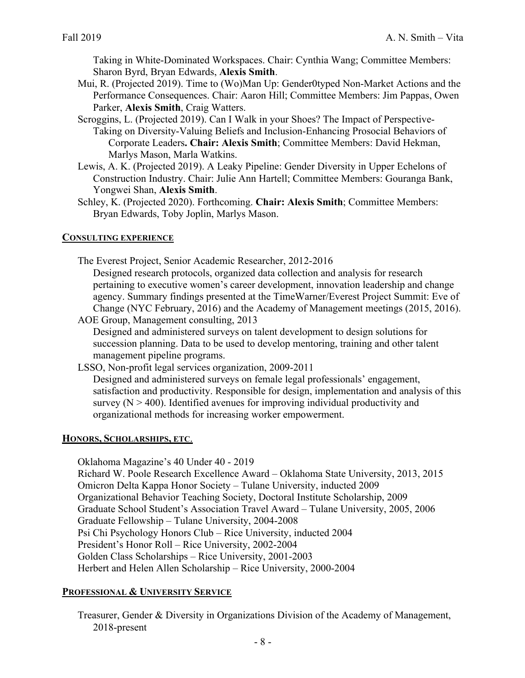Taking in White-Dominated Workspaces. Chair: Cynthia Wang; Committee Members: Sharon Byrd, Bryan Edwards, **Alexis Smith**.

- Mui, R. (Projected 2019). Time to (Wo)Man Up: Gender0typed Non-Market Actions and the Performance Consequences. Chair: Aaron Hill; Committee Members: Jim Pappas, Owen Parker, **Alexis Smith**, Craig Watters.
- Scroggins, L. (Projected 2019). Can I Walk in your Shoes? The Impact of Perspective-Taking on Diversity-Valuing Beliefs and Inclusion-Enhancing Prosocial Behaviors of Corporate Leaders**. Chair: Alexis Smith**; Committee Members: David Hekman, Marlys Mason, Marla Watkins.
- Lewis, A. K. (Projected 2019). A Leaky Pipeline: Gender Diversity in Upper Echelons of Construction Industry. Chair: Julie Ann Hartell; Committee Members: Gouranga Bank, Yongwei Shan, **Alexis Smith**.
- Schley, K. (Projected 2020). Forthcoming. **Chair: Alexis Smith**; Committee Members: Bryan Edwards, Toby Joplin, Marlys Mason.

#### **CONSULTING EXPERIENCE**

The Everest Project, Senior Academic Researcher, 2012-2016

Designed research protocols, organized data collection and analysis for research pertaining to executive women's career development, innovation leadership and change agency. Summary findings presented at the TimeWarner/Everest Project Summit: Eve of Change (NYC February, 2016) and the Academy of Management meetings (2015, 2016).

AOE Group, Management consulting, 2013 Designed and administered surveys on talent development to design solutions for succession planning. Data to be used to develop mentoring, training and other talent management pipeline programs.

LSSO, Non-profit legal services organization, 2009-2011

Designed and administered surveys on female legal professionals' engagement, satisfaction and productivity. Responsible for design, implementation and analysis of this survey  $(N > 400)$ . Identified avenues for improving individual productivity and organizational methods for increasing worker empowerment.

#### **HONORS, SCHOLARSHIPS, ETC**.

Oklahoma Magazine's 40 Under 40 - 2019

Richard W. Poole Research Excellence Award – Oklahoma State University, 2013, 2015 Omicron Delta Kappa Honor Society – Tulane University, inducted 2009 Organizational Behavior Teaching Society, Doctoral Institute Scholarship, 2009 Graduate School Student's Association Travel Award – Tulane University, 2005, 2006 Graduate Fellowship – Tulane University, 2004-2008 Psi Chi Psychology Honors Club – Rice University, inducted 2004 President's Honor Roll – Rice University, 2002-2004 Golden Class Scholarships – Rice University, 2001-2003 Herbert and Helen Allen Scholarship – Rice University, 2000-2004

### **PROFESSIONAL & UNIVERSITY SERVICE**

Treasurer, Gender & Diversity in Organizations Division of the Academy of Management, 2018-present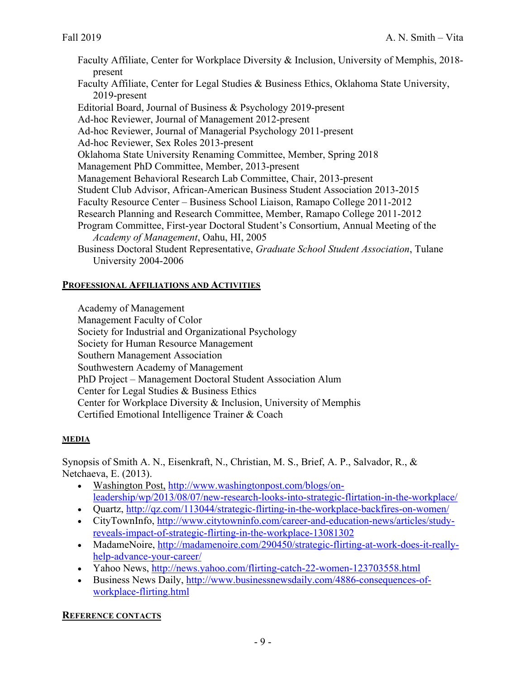Faculty Affiliate, Center for Workplace Diversity & Inclusion, University of Memphis, 2018 present Faculty Affiliate, Center for Legal Studies & Business Ethics, Oklahoma State University, 2019-present Editorial Board, Journal of Business & Psychology 2019-present Ad-hoc Reviewer, Journal of Management 2012-present Ad-hoc Reviewer, Journal of Managerial Psychology 2011-present Ad-hoc Reviewer, Sex Roles 2013-present Oklahoma State University Renaming Committee, Member, Spring 2018 Management PhD Committee, Member, 2013-present Management Behavioral Research Lab Committee, Chair, 2013-present Student Club Advisor, African-American Business Student Association 2013-2015 Faculty Resource Center – Business School Liaison, Ramapo College 2011-2012 Research Planning and Research Committee, Member, Ramapo College 2011-2012 Program Committee, First-year Doctoral Student's Consortium, Annual Meeting of the *Academy of Management*, Oahu, HI, 2005 Business Doctoral Student Representative, *Graduate School Student Association*, Tulane University 2004-2006

# **PROFESSIONAL AFFILIATIONS AND ACTIVITIES**

Academy of Management Management Faculty of Color Society for Industrial and Organizational Psychology Society for Human Resource Management Southern Management Association Southwestern Academy of Management PhD Project – Management Doctoral Student Association Alum Center for Legal Studies & Business Ethics Center for Workplace Diversity & Inclusion, University of Memphis Certified Emotional Intelligence Trainer & Coach

### **MEDIA**

Synopsis of Smith A. N., Eisenkraft, N., Christian, M. S., Brief, A. P., Salvador, R., & Netchaeva, E. (2013).

- Washington Post, http://www.washingtonpost.com/blogs/onleadership/wp/2013/08/07/new-research-looks-into-strategic-flirtation-in-the-workplace/
- Quartz, http://qz.com/113044/strategic-flirting-in-the-workplace-backfires-on-women/
- CityTownInfo, http://www.citytowninfo.com/career-and-education-news/articles/studyreveals-impact-of-strategic-flirting-in-the-workplace-13081302
- MadameNoire, http://madamenoire.com/290450/strategic-flirting-at-work-does-it-reallyhelp-advance-your-career/
- Yahoo News, http://news.yahoo.com/flirting-catch-22-women-123703558.html
- Business News Daily, http://www.businessnewsdaily.com/4886-consequences-ofworkplace-flirting.html

### **REFERENCE CONTACTS**